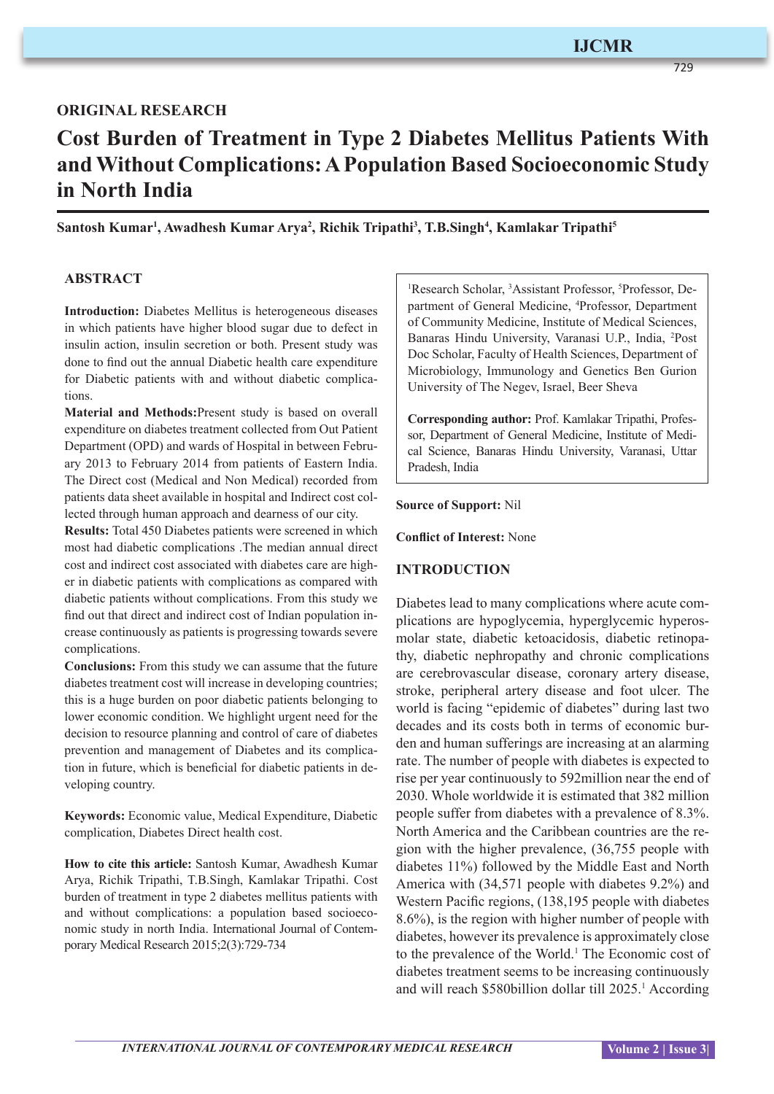# **ORIGINAL RESEARCH**

# **Cost Burden of Treatment in Type 2 Diabetes Mellitus Patients With and Without Complications: A Population Based Socioeconomic Study in North India**

Santosh Kumar<sup>ı</sup>, Awadhesh Kumar Arya<sup>2</sup>, Richik Tripathi<sup>3</sup>, T.B.Singh<sup>4</sup>, Kamlakar Tripathi<sup>s</sup>

## **ABSTRACT**

**Introduction:** Diabetes Mellitus is heterogeneous diseases in which patients have higher blood sugar due to defect in insulin action, insulin secretion or both. Present study was done to find out the annual Diabetic health care expenditure for Diabetic patients with and without diabetic complications.

**Material and Methods:**Present study is based on overall expenditure on diabetes treatment collected from Out Patient Department (OPD) and wards of Hospital in between February 2013 to February 2014 from patients of Eastern India. The Direct cost (Medical and Non Medical) recorded from patients data sheet available in hospital and Indirect cost collected through human approach and dearness of our city.

**Results:** Total 450 Diabetes patients were screened in which most had diabetic complications .The median annual direct cost and indirect cost associated with diabetes care are higher in diabetic patients with complications as compared with diabetic patients without complications. From this study we find out that direct and indirect cost of Indian population increase continuously as patients is progressing towards severe complications.

**Conclusions:** From this study we can assume that the future diabetes treatment cost will increase in developing countries; this is a huge burden on poor diabetic patients belonging to lower economic condition. We highlight urgent need for the decision to resource planning and control of care of diabetes prevention and management of Diabetes and its complication in future, which is beneficial for diabetic patients in developing country.

**Keywords:** Economic value, Medical Expenditure, Diabetic complication, Diabetes Direct health cost.

**How to cite this article:** Santosh Kumar, Awadhesh Kumar Arya, Richik Tripathi, T.B.Singh, Kamlakar Tripathi. Cost burden of treatment in type 2 diabetes mellitus patients with and without complications: a population based socioeconomic study in north India. International Journal of Contemporary Medical Research 2015;2(3):729-734

<sup>1</sup>Research Scholar, <sup>3</sup>Assistant Professor, <sup>5</sup>Professor, Department of General Medicine, <sup>4</sup> Professor, Department of Community Medicine, Institute of Medical Sciences, Banaras Hindu University, Varanasi U.P., India, <sup>2</sup> Post Doc Scholar, Faculty of Health Sciences, Department of Microbiology, Immunology and Genetics Ben Gurion University of The Negev, Israel, Beer Sheva

**Corresponding author:** Prof. Kamlakar Tripathi, Professor, Department of General Medicine, Institute of Medical Science, Banaras Hindu University, Varanasi, Uttar Pradesh, India

**Source of Support:** Nil

**Conflict of Interest:** None

### **INTRODUCTION**

Diabetes lead to many complications where acute complications are hypoglycemia, hyperglycemic hyperosmolar state, diabetic ketoacidosis, diabetic retinopathy, diabetic nephropathy and chronic complications are cerebrovascular disease, coronary artery disease, stroke, peripheral artery disease and foot ulcer. The world is facing "epidemic of diabetes" during last two decades and its costs both in terms of economic burden and human sufferings are increasing at an alarming rate. The number of people with diabetes is expected to rise per year continuously to 592million near the end of 2030. Whole worldwide it is estimated that 382 million people suffer from diabetes with a prevalence of 8.3%. North America and the Caribbean countries are the region with the higher prevalence, (36,755 people with diabetes 11%) followed by the Middle East and North America with (34,571 people with diabetes 9.2%) and Western Pacific regions, (138,195 people with diabetes 8.6%), is the region with higher number of people with diabetes, however its prevalence is approximately close to the prevalence of the World.<sup>1</sup> The Economic cost of diabetes treatment seems to be increasing continuously and will reach \$580billion dollar till 2025.<sup>1</sup> According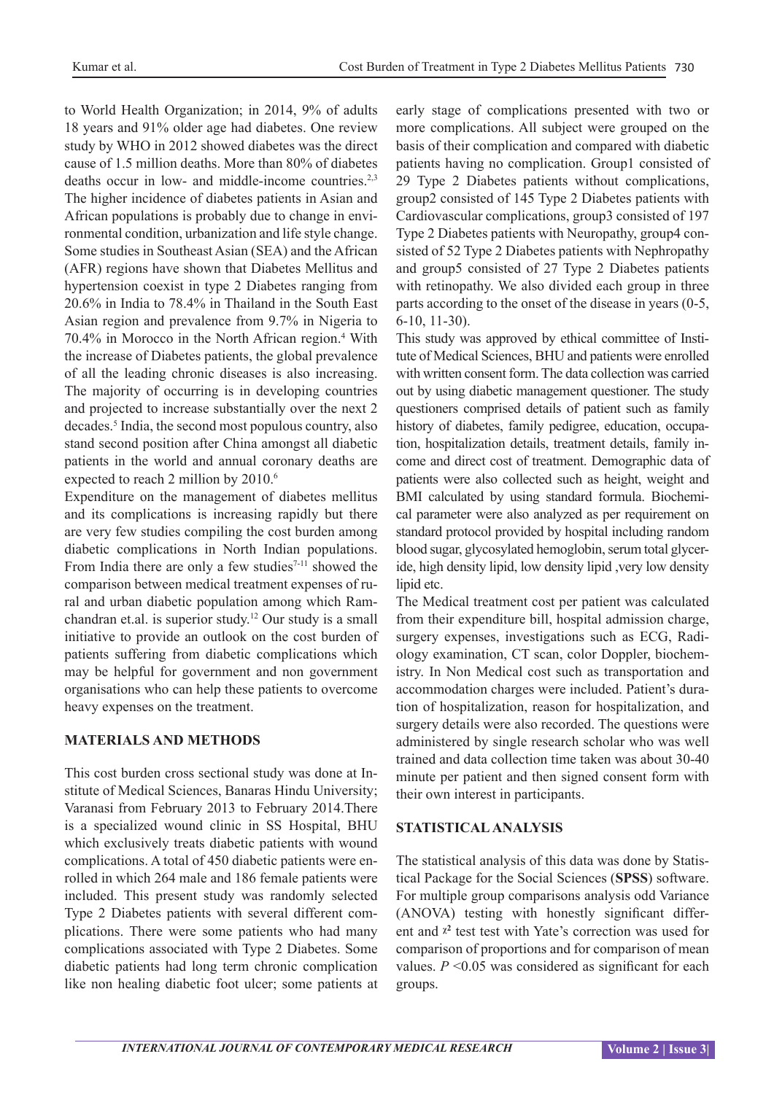to World Health Organization; in 2014, 9% of adults 18 years and 91% older age had diabetes. One review study by WHO in 2012 showed diabetes was the direct cause of 1.5 million deaths. More than 80% of diabetes deaths occur in low- and middle-income countries.<sup>2,3</sup> The higher incidence of diabetes patients in Asian and African populations is probably due to change in environmental condition, urbanization and life style change. Some studies in Southeast Asian (SEA) and the African (AFR) regions have shown that Diabetes Mellitus and hypertension coexist in type 2 Diabetes ranging from 20.6% in India to 78.4% in Thailand in the South East Asian region and prevalence from 9.7% in Nigeria to 70.4% in Morocco in the North African region.4 With the increase of Diabetes patients, the global prevalence of all the leading chronic diseases is also increasing. The majority of occurring is in developing countries and projected to increase substantially over the next 2 decades.<sup>5</sup> India, the second most populous country, also stand second position after China amongst all diabetic patients in the world and annual coronary deaths are expected to reach 2 million by 2010.<sup>6</sup>

Expenditure on the management of diabetes mellitus and its complications is increasing rapidly but there are very few studies compiling the cost burden among diabetic complications in North Indian populations. From India there are only a few studies $7-11$  showed the comparison between medical treatment expenses of rural and urban diabetic population among which Ramchandran et.al. is superior study.12 Our study is a small initiative to provide an outlook on the cost burden of patients suffering from diabetic complications which may be helpful for government and non government organisations who can help these patients to overcome heavy expenses on the treatment.

# **MATERIALS AND METHODS**

This cost burden cross sectional study was done at Institute of Medical Sciences, Banaras Hindu University; Varanasi from February 2013 to February 2014.There is a specialized wound clinic in SS Hospital, BHU which exclusively treats diabetic patients with wound complications. A total of 450 diabetic patients were enrolled in which 264 male and 186 female patients were included. This present study was randomly selected Type 2 Diabetes patients with several different complications. There were some patients who had many complications associated with Type 2 Diabetes. Some diabetic patients had long term chronic complication like non healing diabetic foot ulcer; some patients at

early stage of complications presented with two or more complications. All subject were grouped on the basis of their complication and compared with diabetic patients having no complication. Group1 consisted of 29 Type 2 Diabetes patients without complications, group2 consisted of 145 Type 2 Diabetes patients with Cardiovascular complications, group3 consisted of 197 Type 2 Diabetes patients with Neuropathy, group4 consisted of 52 Type 2 Diabetes patients with Nephropathy and group5 consisted of 27 Type 2 Diabetes patients with retinopathy. We also divided each group in three parts according to the onset of the disease in years (0-5, 6-10, 11-30).

This study was approved by ethical committee of Institute of Medical Sciences, BHU and patients were enrolled with written consent form. The data collection was carried out by using diabetic management questioner. The study questioners comprised details of patient such as family history of diabetes, family pedigree, education, occupation, hospitalization details, treatment details, family income and direct cost of treatment. Demographic data of patients were also collected such as height, weight and BMI calculated by using standard formula. Biochemical parameter were also analyzed as per requirement on standard protocol provided by hospital including random blood sugar, glycosylated hemoglobin, serum total glyceride, high density lipid, low density lipid ,very low density lipid etc.

The Medical treatment cost per patient was calculated from their expenditure bill, hospital admission charge, surgery expenses, investigations such as ECG, Radiology examination, CT scan, color Doppler, biochemistry. In Non Medical cost such as transportation and accommodation charges were included. Patient's duration of hospitalization, reason for hospitalization, and surgery details were also recorded. The questions were administered by single research scholar who was well trained and data collection time taken was about 30-40 minute per patient and then signed consent form with their own interest in participants.

### **STATISTICAL ANALYSIS**

The statistical analysis of this data was done by Statistical Package for the Social Sciences (**SPSS**) software. For multiple group comparisons analysis odd Variance (ANOVA) testing with honestly significant different and  $x^2$  test test with Yate's correction was used for comparison of proportions and for comparison of mean values.  $P \leq 0.05$  was considered as significant for each groups.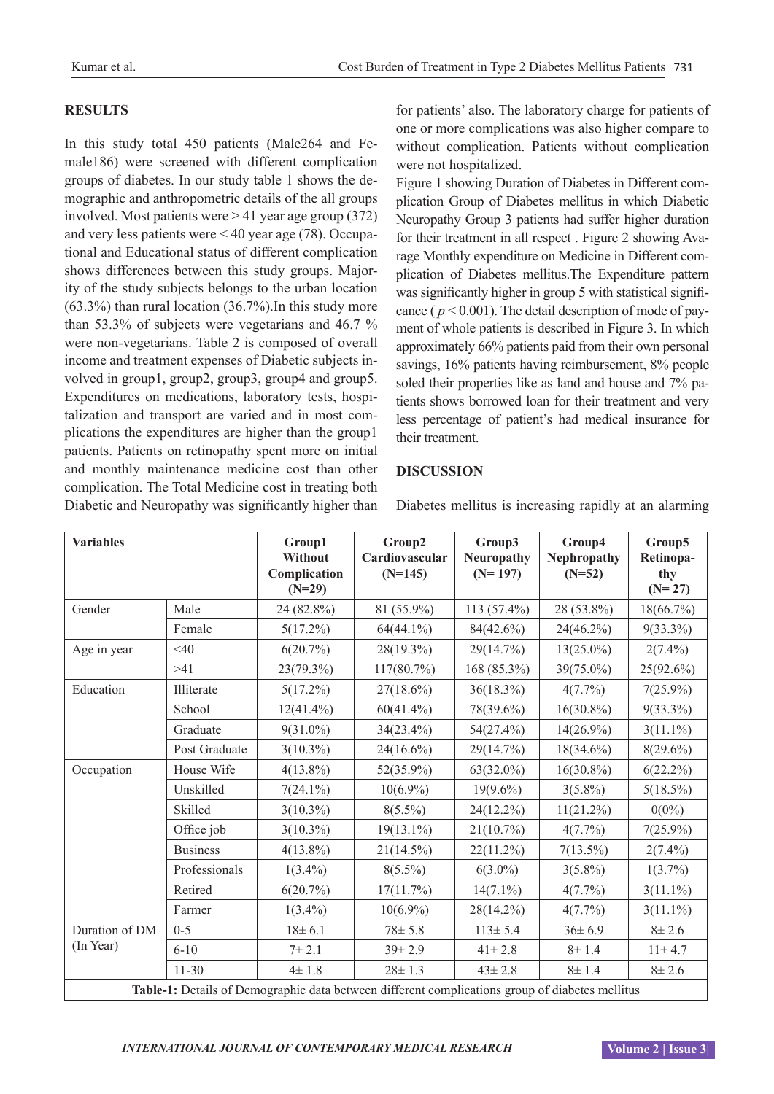## **RESULTS**

In this study total 450 patients (Male264 and Female186) were screened with different complication groups of diabetes. In our study table 1 shows the demographic and anthropometric details of the all groups involved. Most patients were > 41 year age group (372) and very less patients were < 40 year age (78). Occupational and Educational status of different complication shows differences between this study groups. Majority of the study subjects belongs to the urban location  $(63.3\%)$  than rural location  $(36.7\%)$ . In this study more than 53.3% of subjects were vegetarians and 46.7 % were non-vegetarians. Table 2 is composed of overall income and treatment expenses of Diabetic subjects involved in group1, group2, group3, group4 and group5. Expenditures on medications, laboratory tests, hospitalization and transport are varied and in most complications the expenditures are higher than the group1 patients. Patients on retinopathy spent more on initial and monthly maintenance medicine cost than other complication. The Total Medicine cost in treating both Diabetic and Neuropathy was significantly higher than

for patients' also. The laboratory charge for patients of one or more complications was also higher compare to without complication. Patients without complication were not hospitalized.

Figure 1 showing Duration of Diabetes in Different complication Group of Diabetes mellitus in which Diabetic Neuropathy Group 3 patients had suffer higher duration for their treatment in all respect . Figure 2 showing Avarage Monthly expenditure on Medicine in Different complication of Diabetes mellitus.The Expenditure pattern was significantly higher in group 5 with statistical significance ( $p < 0.001$ ). The detail description of mode of payment of whole patients is described in Figure 3. In which approximately 66% patients paid from their own personal savings, 16% patients having reimbursement, 8% people soled their properties like as land and house and 7% patients shows borrowed loan for their treatment and very less percentage of patient's had medical insurance for their treatment.

#### **DISCUSSION**

Diabetes mellitus is increasing rapidly at an alarming

| <b>Variables</b>                                                                                |                 | Group1<br>Without<br>Complication<br>$(N=29)$ | Group2<br>Cardiovascular<br>$(N=145)$ | Group3<br><b>Neuropathy</b><br>$(N=197)$ | Group4<br>Nephropathy<br>$(N=52)$ | Group5<br>Retinopa-<br>thy<br>$(N=27)$ |  |  |  |
|-------------------------------------------------------------------------------------------------|-----------------|-----------------------------------------------|---------------------------------------|------------------------------------------|-----------------------------------|----------------------------------------|--|--|--|
| Gender                                                                                          | Male            | 24 (82.8%)                                    | 81 (55.9%)                            | $113(57.4\%)$                            | 28 (53.8%)                        | 18(66.7%)                              |  |  |  |
|                                                                                                 | Female          | $5(17.2\%)$                                   | $64(44.1\%)$                          | $84(42.6\%)$                             | $24(46.2\%)$                      | $9(33.3\%)$                            |  |  |  |
| Age in year                                                                                     | $<$ 40          | 6(20.7%)                                      | 28(19.3%)                             | 29(14.7%)                                | $13(25.0\%)$                      | $2(7.4\%)$                             |  |  |  |
|                                                                                                 | >41             | 23(79.3%)                                     | $117(80.7\%)$                         | 168 (85.3%)                              | $39(75.0\%)$                      | 25(92.6%)                              |  |  |  |
| Education                                                                                       | Illiterate      | $5(17.2\%)$                                   | $27(18.6\%)$                          | $36(18.3\%)$                             | $4(7.7\%)$                        | $7(25.9\%)$                            |  |  |  |
|                                                                                                 | School          | $12(41.4\%)$                                  | $60(41.4\%)$                          | 78(39.6%)                                | $16(30.8\%)$                      | $9(33.3\%)$                            |  |  |  |
|                                                                                                 | Graduate        | $9(31.0\%)$                                   | 34(23.4%)                             | $54(27.4\%)$                             | $14(26.9\%)$                      | $3(11.1\%)$                            |  |  |  |
|                                                                                                 | Post Graduate   | $3(10.3\%)$                                   | $24(16.6\%)$                          | 29(14.7%)                                | $18(34.6\%)$                      | $8(29.6\%)$                            |  |  |  |
| Occupation                                                                                      | House Wife      | $4(13.8\%)$                                   | 52(35.9%)                             | $63(32.0\%)$                             | $16(30.8\%)$                      | $6(22.2\%)$                            |  |  |  |
|                                                                                                 | Unskilled       | $7(24.1\%)$                                   | $10(6.9\%)$                           | $19(9.6\%)$                              | $3(5.8\%)$                        | $5(18.5\%)$                            |  |  |  |
|                                                                                                 | Skilled         | $3(10.3\%)$                                   | $8(5.5\%)$                            | 24(12.2%)                                | $11(21.2\%)$                      | $0(0\%)$                               |  |  |  |
|                                                                                                 | Office job      | $3(10.3\%)$                                   | $19(13.1\%)$                          | $21(10.7\%)$                             | $4(7.7\%)$                        | $7(25.9\%)$                            |  |  |  |
|                                                                                                 | <b>Business</b> | $4(13.8\%)$                                   | $21(14.5\%)$                          | $22(11.2\%)$                             | $7(13.5\%)$                       | $2(7.4\%)$                             |  |  |  |
|                                                                                                 | Professionals   | $1(3.4\%)$                                    | $8(5.5\%)$                            | $6(3.0\%)$                               | $3(5.8\%)$                        | $1(3.7\%)$                             |  |  |  |
|                                                                                                 | Retired         | $6(20.7\%)$                                   | 17(11.7%)                             | $14(7.1\%)$                              | $4(7.7\%)$                        | $3(11.1\%)$                            |  |  |  |
|                                                                                                 | Farmer          | $1(3.4\%)$                                    | $10(6.9\%)$                           | 28(14.2%)                                | 4(7.7%)                           | $3(11.1\%)$                            |  |  |  |
| Duration of DM<br>(In Year)                                                                     | $0 - 5$         | $18 \pm 6.1$                                  | $78 \pm 5.8$                          | $113 \pm 5.4$                            | $36 \pm 6.9$                      | $8 + 2.6$                              |  |  |  |
|                                                                                                 | $6 - 10$        | 7 ± 2.1                                       | $39 \pm 2.9$                          | $41 \pm 2.8$                             | 8 ± 1.4                           | $11 \pm 4.7$                           |  |  |  |
|                                                                                                 | $11 - 30$       | $4 \pm 1.8$                                   | $28 \pm 1.3$                          | $43 \pm 2.8$                             | 8 ± 1.4                           | $8 + 2.6$                              |  |  |  |
| Table-1: Details of Demographic data between different complications group of diabetes mellitus |                 |                                               |                                       |                                          |                                   |                                        |  |  |  |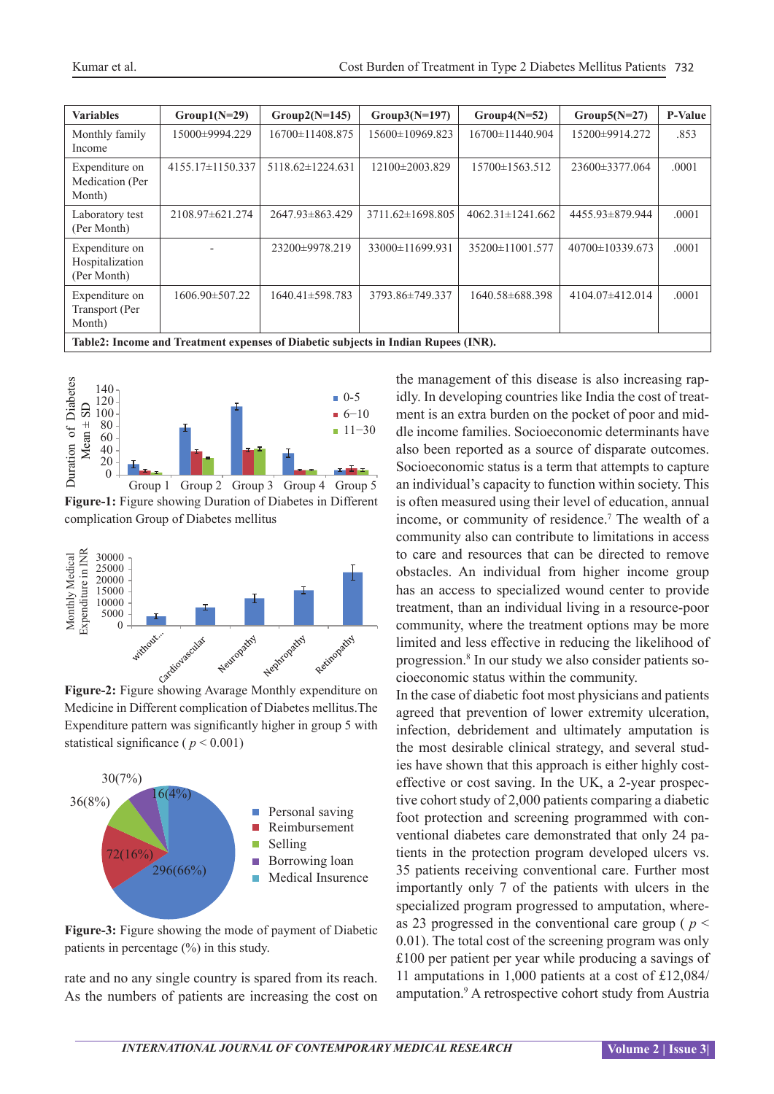| <b>Variables</b>                                                                   |                        |                       |                  |                        |                 | <b>P-Value</b> |  |  |  |  |
|------------------------------------------------------------------------------------|------------------------|-----------------------|------------------|------------------------|-----------------|----------------|--|--|--|--|
|                                                                                    | $Group1(N=29)$         | $Group2(N=145)$       | $Group3(N=197)$  | $Group4(N=52)$         | $Group5(N=27)$  |                |  |  |  |  |
| Monthly family<br>Income                                                           | 15000±9994.229         | 16700±11408.875       | 15600±10969.823  | 16700±11440.904        | 15200±9914.272  | .853           |  |  |  |  |
| Expenditure on<br>Medication (Per<br>Month)                                        | $4155.17 \pm 1150.337$ | 5118.62±1224.631      | 12100±2003.829   | 15700±1563.512         | 23600±3377.064  | .0001          |  |  |  |  |
| Laboratory test<br>(Per Month)                                                     | 2108.97±621.274        | 2647.93 ± 863.429     | 3711.62±1698.805 | $4062.31 \pm 1241.662$ | 4455.93±879.944 | .0001          |  |  |  |  |
| Expenditure on<br>Hospitalization<br>(Per Month)                                   |                        | 23200±9978.219        | 33000±11699.931  | 35200±11001.577        | 40700±10339.673 | .0001          |  |  |  |  |
| Expenditure on<br>Transport (Per<br>Month)                                         | $1606.90 \pm 507.22$   | $1640.41 \pm 598.783$ | 3793.86±749.337  | 1640.58±688.398        | 4104.07±412.014 | .0001          |  |  |  |  |
| Table2: Income and Treatment expenses of Diabetic subjects in Indian Rupees (INR). |                        |                       |                  |                        |                 |                |  |  |  |  |



**Figure-1:** Figure showing Duration of Diabetes in Different complication Group of Diabetes mellitus Group 1 Group 2 Group 3 Group 4 Group 5



**Figure-2:** Figure showing Avarage Monthly expenditure on Medicine in Different complication of Diabetes mellitus.The Expenditure pattern was significantly higher in group 5 with statistical significance ( $p < 0.001$ )



**Figure-3:** Figure showing the mode of payment of Diabetic patients in percentage (%) in this study.

rate and no any single country is spared from its reach. As the numbers of patients are increasing the cost on the management of this disease is also increasing rapidly. In developing countries like India the cost of treatment is an extra burden on the pocket of poor and middle income families. Socioeconomic determinants have also been reported as a source of disparate outcomes. Socioeconomic status is a term that attempts to capture an individual's capacity to function within society. This is often measured using their level of education, annual income, or community of residence.<sup>7</sup> The wealth of a community also can contribute to limitations in access to care and resources that can be directed to remove obstacles. An individual from higher income group has an access to specialized wound center to provide treatment, than an individual living in a resource-poor community, where the treatment options may be more limited and less effective in reducing the likelihood of progression.8 In our study we also consider patients socioeconomic status within the community.

In the case of diabetic foot most physicians and patients agreed that prevention of lower extremity ulceration, infection, debridement and ultimately amputation is the most desirable clinical strategy, and several studies have shown that this approach is either highly costeffective or cost saving. In the UK, a 2-year prospective cohort study of 2,000 patients comparing a diabetic foot protection and screening programmed with conventional diabetes care demonstrated that only 24 patients in the protection program developed ulcers vs. 35 patients receiving conventional care. Further most importantly only 7 of the patients with ulcers in the specialized program progressed to amputation, whereas 23 progressed in the conventional care group ( *p* < 0.01). The total cost of the screening program was only £100 per patient per year while producing a savings of 11 amputations in 1,000 patients at a cost of £12,084/ amputation.<sup>9</sup> A retrospective cohort study from Austria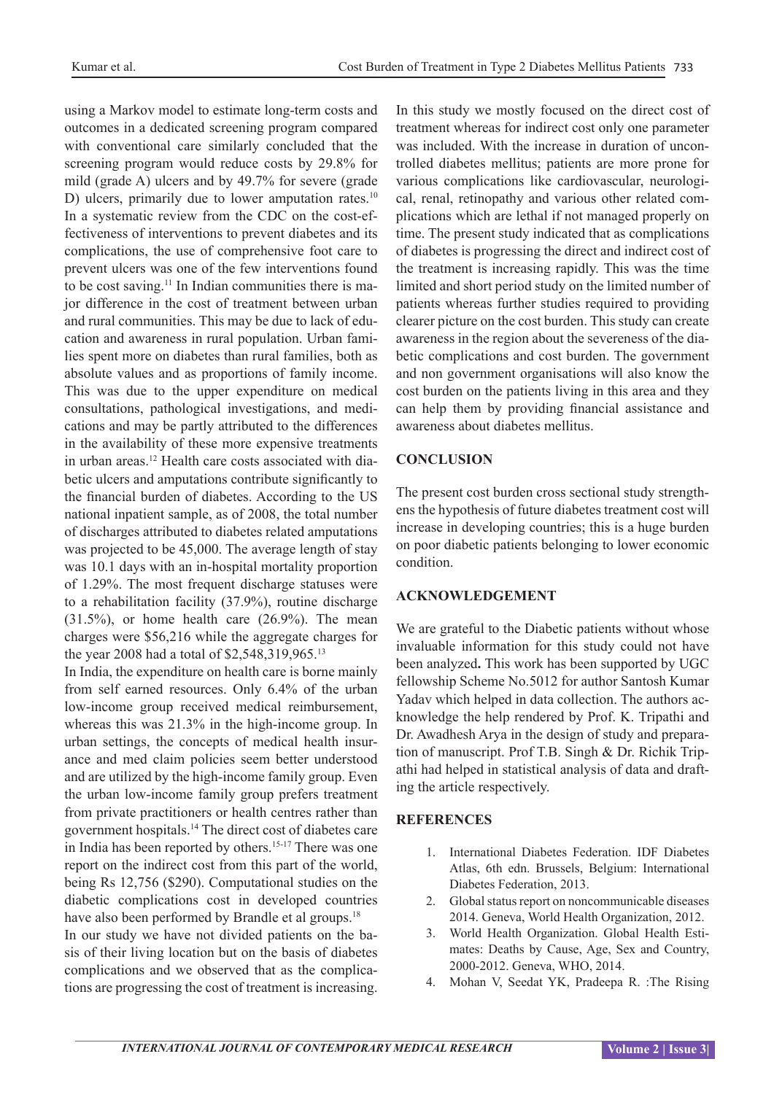using a Markov model to estimate long-term costs and outcomes in a dedicated screening program compared with conventional care similarly concluded that the screening program would reduce costs by 29.8% for mild (grade A) ulcers and by 49.7% for severe (grade D) ulcers, primarily due to lower amputation rates.<sup>10</sup> In a systematic review from the CDC on the cost-effectiveness of interventions to prevent diabetes and its complications, the use of comprehensive foot care to prevent ulcers was one of the few interventions found to be cost saving.11 In Indian communities there is major difference in the cost of treatment between urban and rural communities. This may be due to lack of education and awareness in rural population. Urban families spent more on diabetes than rural families, both as absolute values and as proportions of family income. This was due to the upper expenditure on medical consultations, pathological investigations, and medications and may be partly attributed to the differences in the availability of these more expensive treatments in urban areas.12 Health care costs associated with diabetic ulcers and amputations contribute significantly to the financial burden of diabetes. According to the US national inpatient sample, as of 2008, the total number of discharges attributed to diabetes related amputations was projected to be 45,000. The average length of stay was 10.1 days with an in-hospital mortality proportion of 1.29%. The most frequent discharge statuses were to a rehabilitation facility (37.9%), routine discharge  $(31.5\%)$ , or home health care  $(26.9\%)$ . The mean charges were \$56,216 while the aggregate charges for the year 2008 had a total of \$2,548,319,965.<sup>13</sup>

In India, the expenditure on health care is borne mainly from self earned resources. Only 6.4% of the urban low-income group received medical reimbursement, whereas this was 21.3% in the high-income group. In urban settings, the concepts of medical health insurance and med claim policies seem better understood and are utilized by the high-income family group. Even the urban low-income family group prefers treatment from private practitioners or health centres rather than government hospitals.<sup>14</sup> The direct cost of diabetes care in India has been reported by others.15-17 There was one report on the indirect cost from this part of the world, being Rs 12,756 (\$290). Computational studies on the diabetic complications cost in developed countries have also been performed by Brandle et al groups.<sup>18</sup> In our study we have not divided patients on the basis of their living location but on the basis of diabetes complications and we observed that as the complications are progressing the cost of treatment is increasing.

In this study we mostly focused on the direct cost of treatment whereas for indirect cost only one parameter was included. With the increase in duration of uncontrolled diabetes mellitus; patients are more prone for various complications like cardiovascular, neurological, renal, retinopathy and various other related complications which are lethal if not managed properly on time. The present study indicated that as complications of diabetes is progressing the direct and indirect cost of the treatment is increasing rapidly. This was the time limited and short period study on the limited number of patients whereas further studies required to providing clearer picture on the cost burden. This study can create awareness in the region about the severeness of the diabetic complications and cost burden. The government and non government organisations will also know the cost burden on the patients living in this area and they can help them by providing financial assistance and awareness about diabetes mellitus.

# **CONCLUSION**

The present cost burden cross sectional study strengthens the hypothesis of future diabetes treatment cost will increase in developing countries; this is a huge burden on poor diabetic patients belonging to lower economic condition.

# **ACKNOWLEDGEMENT**

We are grateful to the Diabetic patients without whose invaluable information for this study could not have been analyzed**.** This work has been supported by UGC fellowship Scheme No.5012 for author Santosh Kumar Yadav which helped in data collection. The authors acknowledge the help rendered by Prof. K. Tripathi and Dr. Awadhesh Arya in the design of study and preparation of manuscript. Prof T.B. Singh & Dr. Richik Tripathi had helped in statistical analysis of data and drafting the article respectively.

# **REFERENCES**

- 1. International Diabetes Federation. IDF Diabetes Atlas, 6th edn. Brussels, Belgium: International Diabetes Federation, 2013.
- 2. Global status report on noncommunicable diseases 2014. Geneva, World Health Organization, 2012.
- 3. World Health Organization. Global Health Estimates: Deaths by Cause, Age, Sex and Country, 2000-2012. Geneva, WHO, 2014.
- 4. Mohan V, Seedat YK, Pradeepa R. :The Rising